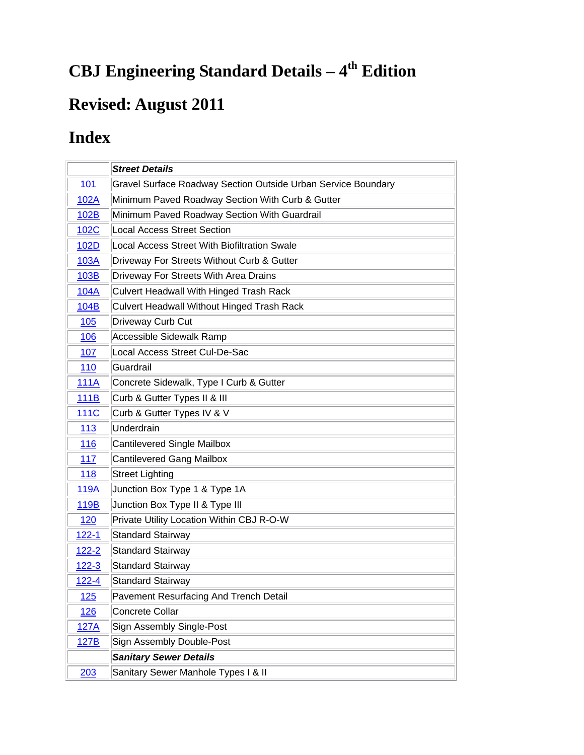## **CBJ Engineering Standard Details - 4<sup>th</sup> Edition**

## **Revised: August 2011**

## **Index**

|              | <b>Street Details</b>                                         |
|--------------|---------------------------------------------------------------|
| 101          | Gravel Surface Roadway Section Outside Urban Service Boundary |
| 102A         | Minimum Paved Roadway Section With Curb & Gutter              |
| 102B         | Minimum Paved Roadway Section With Guardrail                  |
| 102C         | <b>Local Access Street Section</b>                            |
| 102D         | Local Access Street With Biofiltration Swale                  |
| 103A         | Driveway For Streets Without Curb & Gutter                    |
| 103B         | Driveway For Streets With Area Drains                         |
| 104A         | Culvert Headwall With Hinged Trash Rack                       |
| 104B         | Culvert Headwall Without Hinged Trash Rack                    |
| 105          | Driveway Curb Cut                                             |
| 106          | Accessible Sidewalk Ramp                                      |
| 107          | Local Access Street Cul-De-Sac                                |
| 110          | Guardrail                                                     |
| <b>111A</b>  | Concrete Sidewalk, Type I Curb & Gutter                       |
| 111B         | Curb & Gutter Types II & III                                  |
| <b>111C</b>  | Curb & Gutter Types IV & V                                    |
| 113          | Underdrain                                                    |
| 116          | <b>Cantilevered Single Mailbox</b>                            |
| 117          | <b>Cantilevered Gang Mailbox</b>                              |
| 118          | <b>Street Lighting</b>                                        |
| 119A         | Junction Box Type 1 & Type 1A                                 |
| 119B         | Junction Box Type II & Type III                               |
| 120          | Private Utility Location Within CBJ R-O-W                     |
| $122 - 1$    | <b>Standard Stairway</b>                                      |
| <u>122-2</u> | <b>Standard Stairway</b>                                      |
| $122 - 3$    | <b>Standard Stairway</b>                                      |
| $122 - 4$    | <b>Standard Stairway</b>                                      |
| 125          | Pavement Resurfacing And Trench Detail                        |
| <u>126</u>   | Concrete Collar                                               |
| 127A         | Sign Assembly Single-Post                                     |
| 127B         | Sign Assembly Double-Post                                     |
|              | <b>Sanitary Sewer Details</b>                                 |
| 203          | Sanitary Sewer Manhole Types I & II                           |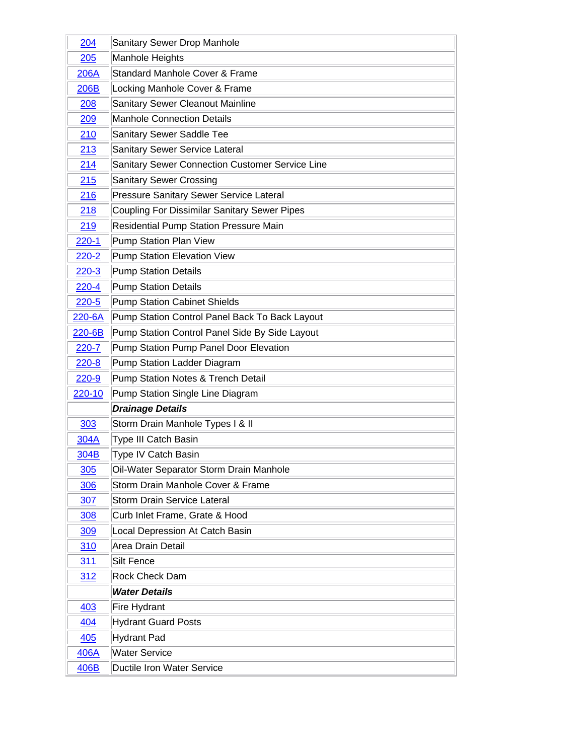| 204        | Sanitary Sewer Drop Manhole                               |
|------------|-----------------------------------------------------------|
| 205        | Manhole Heights                                           |
| 206A       | Standard Manhole Cover & Frame                            |
| 206B       | Locking Manhole Cover & Frame                             |
| 208        | Sanitary Sewer Cleanout Mainline                          |
| 209        | <b>Manhole Connection Details</b>                         |
| 210        | Sanitary Sewer Saddle Tee                                 |
| 213        | Sanitary Sewer Service Lateral                            |
| 214        | Sanitary Sewer Connection Customer Service Line           |
| 215        | <b>Sanitary Sewer Crossing</b>                            |
| 216        | Pressure Sanitary Sewer Service Lateral                   |
| 218        | Coupling For Dissimilar Sanitary Sewer Pipes              |
| 219        | Residential Pump Station Pressure Main                    |
| $220 - 1$  | Pump Station Plan View                                    |
| $220 - 2$  | Pump Station Elevation View                               |
| $220-3$    | <b>Pump Station Details</b>                               |
| $220 - 4$  | <b>Pump Station Details</b>                               |
| $220 - 5$  | <b>Pump Station Cabinet Shields</b>                       |
| 220-6A     | Pump Station Control Panel Back To Back Layout            |
| 220-6B     | Pump Station Control Panel Side By Side Layout            |
| $220 - 7$  | Pump Station Pump Panel Door Elevation                    |
|            |                                                           |
| $220 - 8$  | Pump Station Ladder Diagram                               |
| 220-9      | Pump Station Notes & Trench Detail                        |
| 220-10     | Pump Station Single Line Diagram                          |
|            | <b>Drainage Details</b>                                   |
| 303        | Storm Drain Manhole Types I & II                          |
| 304A       | <b>Type III Catch Basin</b>                               |
| 304B       | Type IV Catch Basin                                       |
| 305        | Oil-Water Separator Storm Drain Manhole                   |
| 306        | Storm Drain Manhole Cover & Frame                         |
| 307        | <b>Storm Drain Service Lateral</b>                        |
| <b>308</b> | Curb Inlet Frame, Grate & Hood                            |
| 309        | Local Depression At Catch Basin                           |
| 310        | Area Drain Detail                                         |
| <u>311</u> | <b>Silt Fence</b>                                         |
| 312        | Rock Check Dam                                            |
|            | <b>Water Details</b>                                      |
| 403        | Fire Hydrant                                              |
| 404        | <b>Hydrant Guard Posts</b>                                |
| 405        | <b>Hydrant Pad</b>                                        |
| 406A       | <b>Water Service</b><br><b>Ductile Iron Water Service</b> |